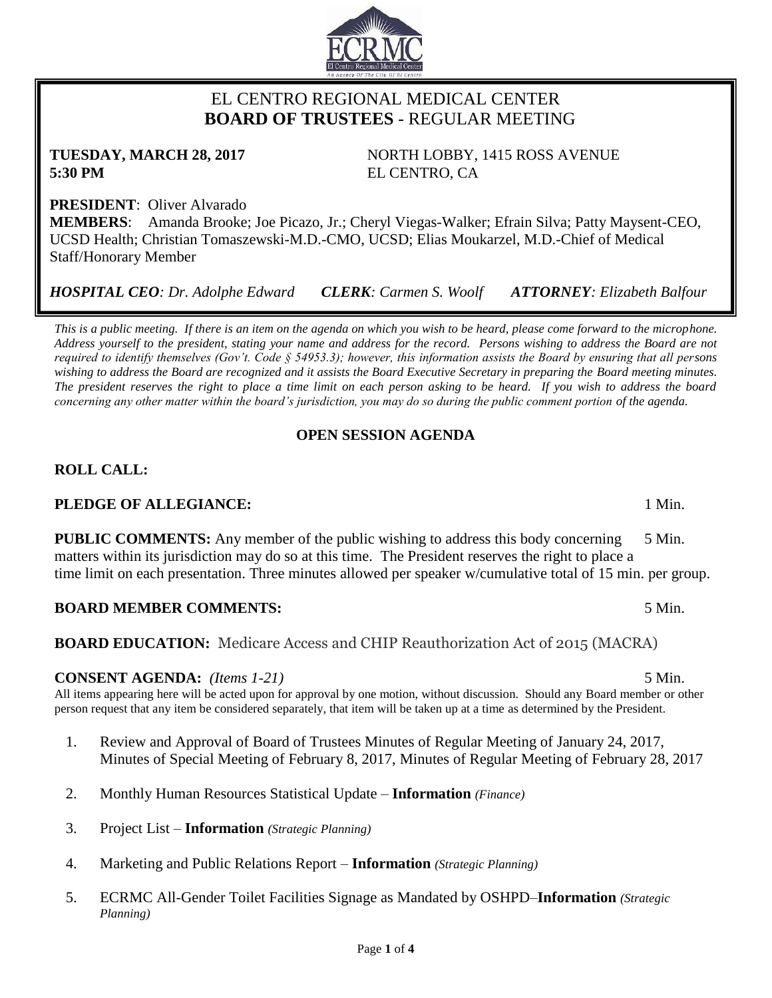# EL CENTRO REGIONAL MEDICAL CENTER  **BOARD OF TRUSTEES** - REGULAR MEETING

**TUESDAY, MARCH 28, 2017** NORTH LOBBY, 1415 ROSS AVENUE **5:30 PM** EL CENTRO, CA

**PRESIDENT**: Oliver Alvarado **MEMBERS**: Amanda Brooke; Joe Picazo, Jr.; Cheryl Viegas-Walker; Efrain Silva; Patty Maysent-CEO, UCSD Health; Christian Tomaszewski-M.D.-CMO, UCSD; Elias Moukarzel, M.D.-Chief of Medical Staff/Honorary Member

*HOSPITAL CEO: Dr. Adolphe Edward CLERK: Carmen S. Woolf ATTORNEY: Elizabeth Balfour*

*This is a public meeting. If there is an item on the agenda on which you wish to be heard, please come forward to the microphone. Address yourself to the president, stating your name and address for the record. Persons wishing to address the Board are not required to identify themselves (Gov't. Code § 54953.3); however, this information assists the Board by ensuring that all persons wishing to address the Board are recognized and it assists the Board Executive Secretary in preparing the Board meeting minutes. The president reserves the right to place a time limit on each person asking to be heard. If you wish to address the board concerning any other matter within the board's jurisdiction, you may do so during the public comment portion of the agenda.*

## **OPEN SESSION AGENDA**

## **ROLL CALL:**

## **PLEDGE OF ALLEGIANCE:** 1 Min.

**PUBLIC COMMENTS:** Any member of the public wishing to address this body concerning 5 Min. matters within its jurisdiction may do so at this time. The President reserves the right to place a time limit on each presentation. Three minutes allowed per speaker w/cumulative total of 15 min. per group.

### **BOARD MEMBER COMMENTS:** 5 Min.

**BOARD EDUCATION:** Medicare Access and CHIP Reauthorization Act of 2015 (MACRA)

#### **CONSENT AGENDA:** *(Items 1-21)* 5 Min.

All items appearing here will be acted upon for approval by one motion, without discussion. Should any Board member or other person request that any item be considered separately, that item will be taken up at a time as determined by the President.

- 1. Review and Approval of Board of Trustees Minutes of Regular Meeting of January 24, 2017, Minutes of Special Meeting of February 8, 2017, Minutes of Regular Meeting of February 28, 2017
- 2. Monthly Human Resources Statistical Update **Information** *(Finance)*
- 3. Project List **Information** *(Strategic Planning)*
- 4. Marketing and Public Relations Report **Information** *(Strategic Planning)*
- 5. ECRMC All-Gender Toilet Facilities Signage as Mandated by OSHPD–**Information** *(Strategic Planning)*

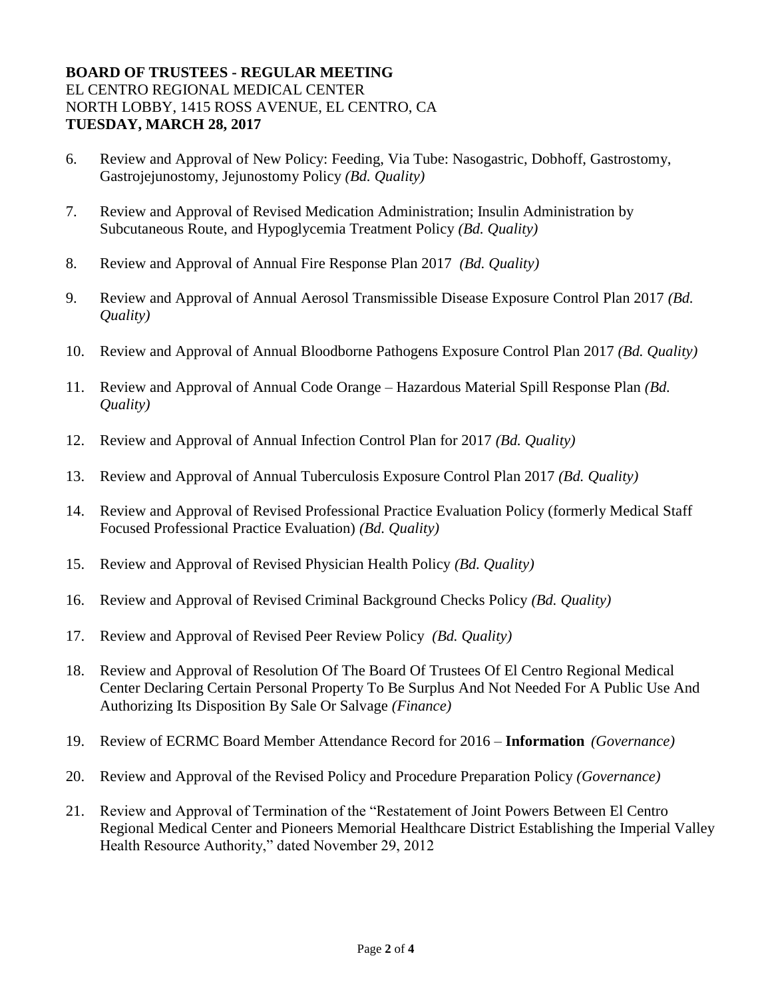## **BOARD OF TRUSTEES - REGULAR MEETING** EL CENTRO REGIONAL MEDICAL CENTER NORTH LOBBY, 1415 ROSS AVENUE, EL CENTRO, CA **TUESDAY, MARCH 28, 2017**

- 6. Review and Approval of New Policy: Feeding, Via Tube: Nasogastric, Dobhoff, Gastrostomy, Gastrojejunostomy, Jejunostomy Policy *(Bd. Quality)*
- 7. Review and Approval of Revised Medication Administration; Insulin Administration by Subcutaneous Route, and Hypoglycemia Treatment Policy *(Bd. Quality)*
- 8. Review and Approval of Annual Fire Response Plan 2017 *(Bd. Quality)*
- 9. Review and Approval of Annual Aerosol Transmissible Disease Exposure Control Plan 2017 *(Bd. Quality)*
- 10. Review and Approval of Annual Bloodborne Pathogens Exposure Control Plan 2017 *(Bd. Quality)*
- 11. Review and Approval of Annual Code Orange Hazardous Material Spill Response Plan *(Bd. Quality)*
- 12. Review and Approval of Annual Infection Control Plan for 2017 *(Bd. Quality)*
- 13. Review and Approval of Annual Tuberculosis Exposure Control Plan 2017 *(Bd. Quality)*
- 14. Review and Approval of Revised Professional Practice Evaluation Policy (formerly Medical Staff Focused Professional Practice Evaluation) *(Bd. Quality)*
- 15. Review and Approval of Revised Physician Health Policy *(Bd. Quality)*
- 16. Review and Approval of Revised Criminal Background Checks Policy *(Bd. Quality)*
- 17. Review and Approval of Revised Peer Review Policy *(Bd. Quality)*
- 18. Review and Approval of Resolution Of The Board Of Trustees Of El Centro Regional Medical Center Declaring Certain Personal Property To Be Surplus And Not Needed For A Public Use And Authorizing Its Disposition By Sale Or Salvage *(Finance)*
- 19. Review of ECRMC Board Member Attendance Record for 2016 **Information** *(Governance)*
- 20. Review and Approval of the Revised Policy and Procedure Preparation Policy *(Governance)*
- 21. Review and Approval of Termination of the "Restatement of Joint Powers Between El Centro Regional Medical Center and Pioneers Memorial Healthcare District Establishing the Imperial Valley Health Resource Authority," dated November 29, 2012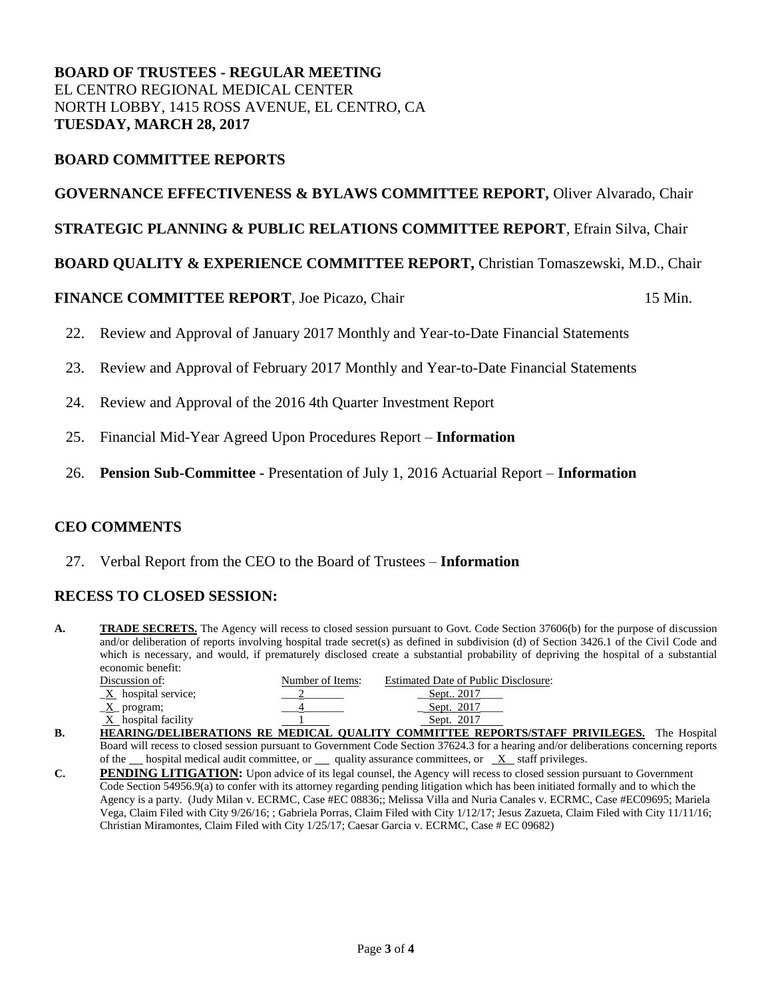## **BOARD OF TRUSTEES - REGULAR MEETING** EL CENTRO REGIONAL MEDICAL CENTER NORTH LOBBY, 1415 ROSS AVENUE, EL CENTRO, CA **TUESDAY, MARCH 28, 2017**

## **BOARD COMMITTEE REPORTS**

#### **GOVERNANCE EFFECTIVENESS & BYLAWS COMMITTEE REPORT,** Oliver Alvarado, Chair

### **STRATEGIC PLANNING & PUBLIC RELATIONS COMMITTEE REPORT**, Efrain Silva, Chair

### **BOARD QUALITY & EXPERIENCE COMMITTEE REPORT,** Christian Tomaszewski, M.D., Chair

### **FINANCE COMMITTEE REPORT**, Joe Picazo, Chair 15 Min.

- 22. Review and Approval of January 2017 Monthly and Year-to-Date Financial Statements
- 23. Review and Approval of February 2017 Monthly and Year-to-Date Financial Statements
- 24. Review and Approval of the 2016 4th Quarter Investment Report
- 25. Financial Mid-Year Agreed Upon Procedures Report **Information**
- 26. **Pension Sub-Committee -** Presentation of July 1, 2016 Actuarial Report **Information**

### **CEO COMMENTS**

27. Verbal Report from the CEO to the Board of Trustees – **Information**

### **RECESS TO CLOSED SESSION:**

A. **TRADE SECRETS.** The Agency will recess to closed session pursuant to Govt. Code Section 37606(b) for the purpose of discussion and/or deliberation of reports involving hospital trade secret(s) as defined in subdivision (d) of Section 3426.1 of the Civil Code and which is necessary, and would, if prematurely disclosed create a substantial probability of depriving the hospital of a substantial economic benefit:

|    | Discussion of:                    | Number of Items: | <b>Estimated Date of Public Disclosure:</b>                    |
|----|-----------------------------------|------------------|----------------------------------------------------------------|
|    | $\underline{X}$ hospital service; |                  | Sept., 2017                                                    |
|    | $X$ program;                      |                  | Sept. 2017                                                     |
|    | $X$ hospital facility             |                  | Sept. 2017                                                     |
| B. |                                   |                  | HEARING/DELIBERATIONS RE MEDICAL OUALITY COMMITTEE REPORTS/STA |

- **B. HEARING/DELIBERATIONS RE MEDICAL QUALITY COMMITTEE REPORTS/STAFF PRIVILEGES.** The Hospital Board will recess to closed session pursuant to Government Code Section 37624.3 for a hearing and/or deliberations concerning reports of the  $\Box$  hospital medical audit committee, or  $\Box$  quality assurance committees, or  $\Box X$  staff privileges.
- **C. PENDING LITIGATION:** Upon advice of its legal counsel, the Agency will recess to closed session pursuant to Government Code Section 54956.9(a) to confer with its attorney regarding pending litigation which has been initiated formally and to which the Agency is a party. (Judy Milan v. ECRMC, Case #EC 08836;; Melissa Villa and Nuria Canales v. ECRMC, Case #EC09695; Mariela Vega, Claim Filed with City 9/26/16; ; Gabriela Porras, Claim Filed with City 1/12/17; Jesus Zazueta, Claim Filed with City 11/11/16; Christian Miramontes, Claim Filed with City 1/25/17; Caesar Garcia v. ECRMC, Case # EC 09682)